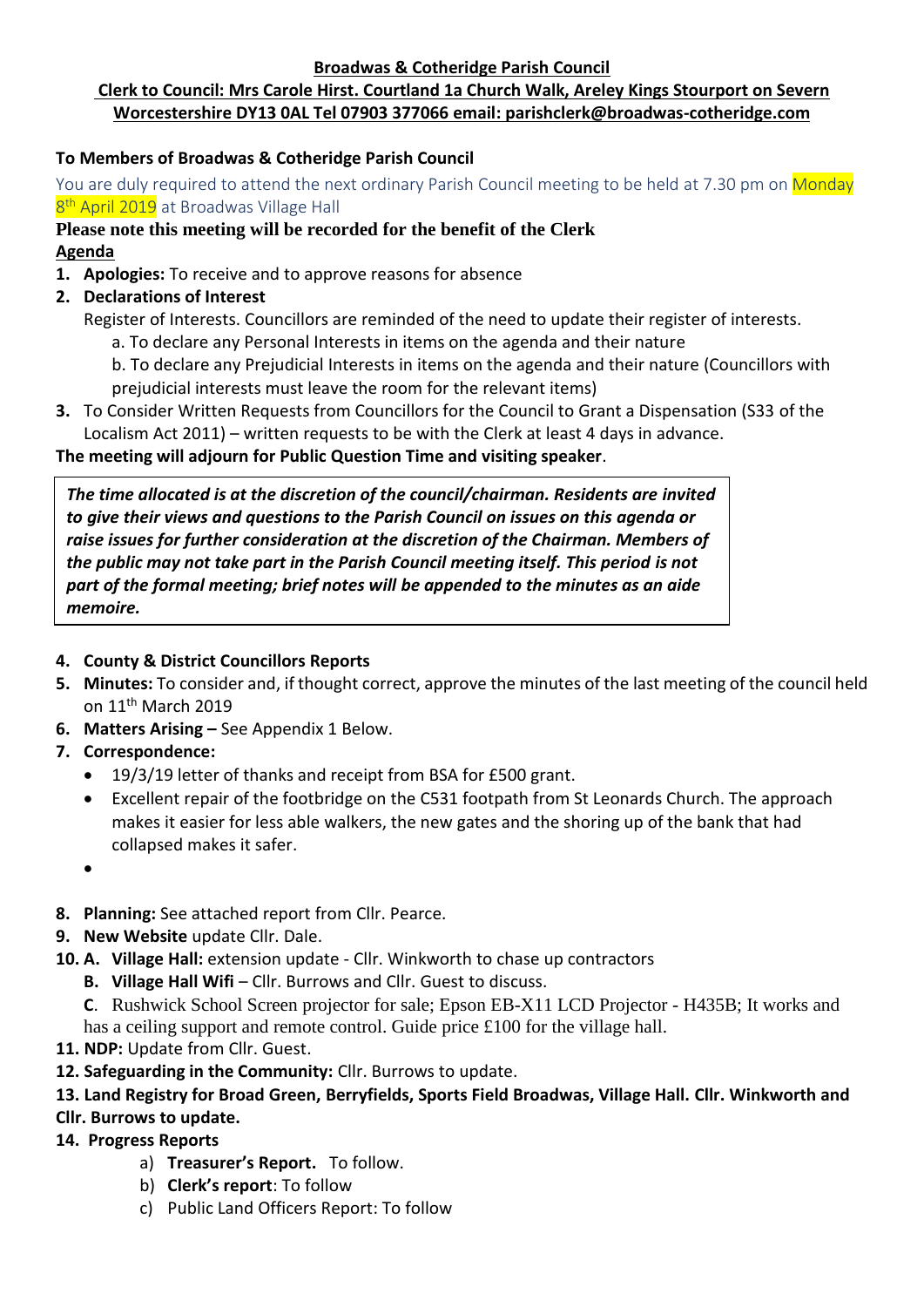**Broadwas & Cotheridge Parish Council**

# **Clerk to Council: Mrs Carole Hirst. Courtland 1a Church Walk, Areley Kings Stourport on Severn Worcestershire DY13 0AL Tel 07903 377066 email: parishclerk@broadwas-cotheridge.com**

#### **To Members of Broadwas & Cotheridge Parish Council**

You are duly required to attend the next ordinary Parish Council meeting to be held at 7.30 pm on Monday 8<sup>th</sup> April 2019 at Broadwas Village Hall

#### **Please note this meeting will be recorded for the benefit of the Clerk Agenda**

- **1. Apologies:** To receive and to approve reasons for absence
- **2. Declarations of Interest**
	- Register of Interests. Councillors are reminded of the need to update their register of interests.
		- a. To declare any Personal Interests in items on the agenda and their nature
		- b. To declare any Prejudicial Interests in items on the agenda and their nature (Councillors with prejudicial interests must leave the room for the relevant items)
- **3.** To Consider Written Requests from Councillors for the Council to Grant a Dispensation (S33 of the Localism Act 2011) – written requests to be with the Clerk at least 4 days in advance.

#### **The meeting will adjourn for Public Question Time and visiting speaker**.

*The time allocated is at the discretion of the council/chairman. Residents are invited to give their views and questions to the Parish Council on issues on this agenda or raise issues for further consideration at the discretion of the Chairman. Members of the public may not take part in the Parish Council meeting itself. This period is not part of the formal meeting; brief notes will be appended to the minutes as an aide memoire.*

#### **4. County & District Councillors Reports**

- **5. Minutes:** To consider and, if thought correct, approve the minutes of the last meeting of the council held on 11<sup>th</sup> March 2019
- **6. Matters Arising –** See Appendix 1 Below.

# **7. Correspondence:**

- 19/3/19 letter of thanks and receipt from BSA for £500 grant.
- Excellent repair of the footbridge on the C531 footpath from St Leonards Church. The approach makes it easier for less able walkers, the new gates and the shoring up of the bank that had collapsed makes it safer.

•

- **8. Planning:** See attached report from Cllr. Pearce.
- **9. New Website** update Cllr. Dale.
- **10. A. Village Hall:** extension update Cllr. Winkworth to chase up contractors
	- **B.** Village Hall Wifi Cllr. Burrows and Cllr. Guest to discuss.
	- **C**. Rushwick School Screen projector for sale; Epson EB-X11 LCD Projector H435B; It works and has a ceiling support and remote control. Guide price £100 for the village hall.
- **11. NDP:** Update from Cllr. Guest.
- **12. Safeguarding in the Community:** Cllr. Burrows to update.

# **13. Land Registry for Broad Green, Berryfields, Sports Field Broadwas, Village Hall. Cllr. Winkworth and**

# **Cllr. Burrows to update.**

# **14. Progress Reports**

- a) **Treasurer's Report.** To follow.
- b) **Clerk's report**: To follow
- c) Public Land Officers Report: To follow